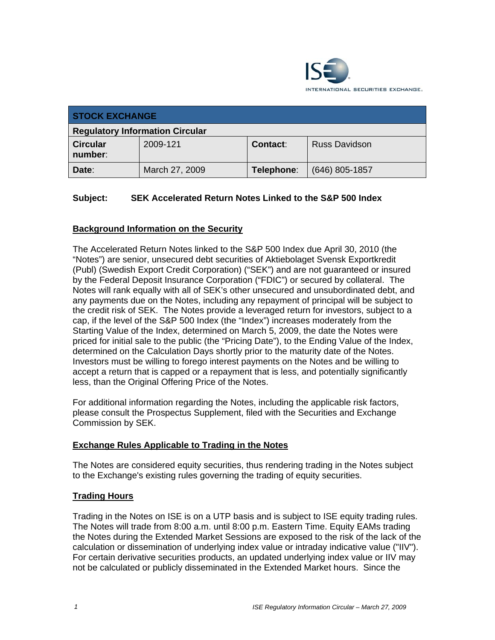

| <b>STOCK EXCHANGE</b>                  |                |                 |                      |
|----------------------------------------|----------------|-----------------|----------------------|
| <b>Regulatory Information Circular</b> |                |                 |                      |
| <b>Circular</b><br>number:             | 2009-121       | <b>Contact:</b> | <b>Russ Davidson</b> |
| Date:                                  | March 27, 2009 | Telephone:      | (646) 805-1857       |

## **Subject: SEK Accelerated Return Notes Linked to the S&P 500 Index**

## **Background Information on the Security**

The Accelerated Return Notes linked to the S&P 500 Index due April 30, 2010 (the "Notes") are senior, unsecured debt securities of Aktiebolaget Svensk Exportkredit (Publ) (Swedish Export Credit Corporation) ("SEK") and are not guaranteed or insured by the Federal Deposit Insurance Corporation ("FDIC") or secured by collateral. The Notes will rank equally with all of SEK's other unsecured and unsubordinated debt, and any payments due on the Notes, including any repayment of principal will be subject to the credit risk of SEK. The Notes provide a leveraged return for investors, subject to a cap, if the level of the S&P 500 Index (the "Index") increases moderately from the Starting Value of the Index, determined on March 5, 2009, the date the Notes were priced for initial sale to the public (the "Pricing Date"), to the Ending Value of the Index, determined on the Calculation Days shortly prior to the maturity date of the Notes. Investors must be willing to forego interest payments on the Notes and be willing to accept a return that is capped or a repayment that is less, and potentially significantly less, than the Original Offering Price of the Notes.

For additional information regarding the Notes, including the applicable risk factors, please consult the Prospectus Supplement, filed with the Securities and Exchange Commission by SEK.

## **Exchange Rules Applicable to Trading in the Notes**

The Notes are considered equity securities, thus rendering trading in the Notes subject to the Exchange's existing rules governing the trading of equity securities.

#### **Trading Hours**

Trading in the Notes on ISE is on a UTP basis and is subject to ISE equity trading rules. The Notes will trade from 8:00 a.m. until 8:00 p.m. Eastern Time. Equity EAMs trading the Notes during the Extended Market Sessions are exposed to the risk of the lack of the calculation or dissemination of underlying index value or intraday indicative value ("IIV"). For certain derivative securities products, an updated underlying index value or IIV may not be calculated or publicly disseminated in the Extended Market hours. Since the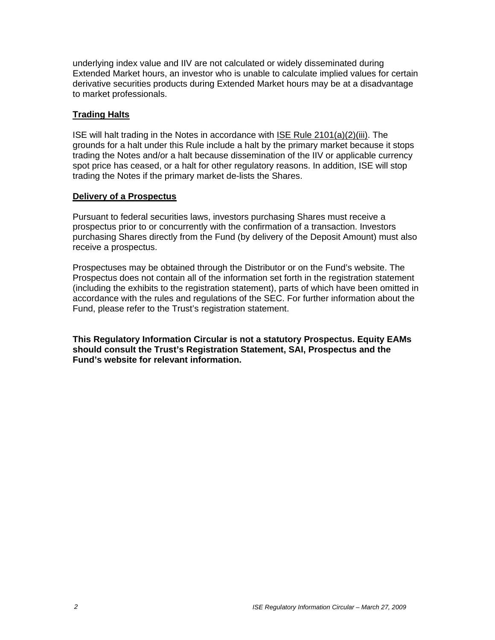underlying index value and IIV are not calculated or widely disseminated during Extended Market hours, an investor who is unable to calculate implied values for certain derivative securities products during Extended Market hours may be at a disadvantage to market professionals.

### **Trading Halts**

ISE will halt trading in the Notes in accordance with ISE Rule 2101(a)(2)(iii). The grounds for a halt under this Rule include a halt by the primary market because it stops trading the Notes and/or a halt because dissemination of the IIV or applicable currency spot price has ceased, or a halt for other regulatory reasons. In addition, ISE will stop trading the Notes if the primary market de-lists the Shares.

#### **Delivery of a Prospectus**

Pursuant to federal securities laws, investors purchasing Shares must receive a prospectus prior to or concurrently with the confirmation of a transaction. Investors purchasing Shares directly from the Fund (by delivery of the Deposit Amount) must also receive a prospectus.

Prospectuses may be obtained through the Distributor or on the Fund's website. The Prospectus does not contain all of the information set forth in the registration statement (including the exhibits to the registration statement), parts of which have been omitted in accordance with the rules and regulations of the SEC. For further information about the Fund, please refer to the Trust's registration statement.

**This Regulatory Information Circular is not a statutory Prospectus. Equity EAMs should consult the Trust's Registration Statement, SAI, Prospectus and the Fund's website for relevant information.**